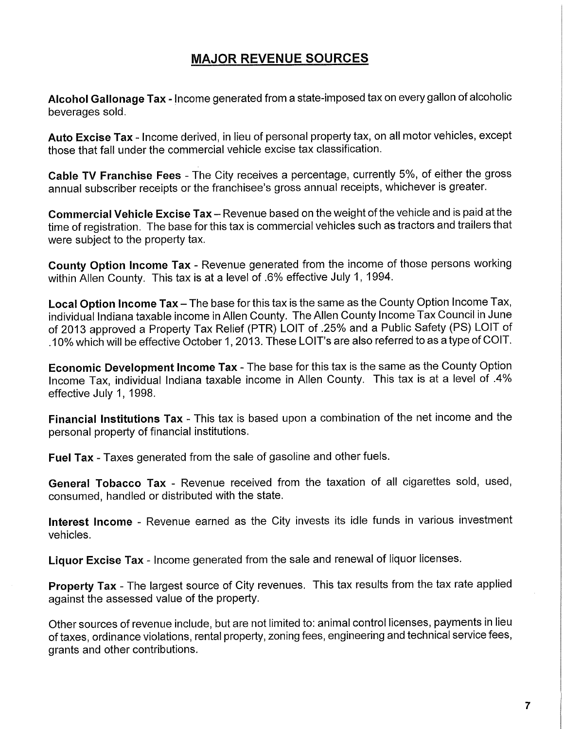# **MAJOR REVENUE SOURCES**

**Alcohol Gallonage Tax** - Income generated from a state-imposed tax on every gallon of alcoholic beverages sold.

**Auto Excise Tax** - Income derived, in lieu of personal property tax, on all motor vehicles, except those that fall under the commercial vehicle excise tax classification.

**Cable TV Franchise Fees** - The City receives a percentage, currently 5%, of either the gross annual subscriber receipts or the franchisee's gross annual receipts, whichever is greater.

**Commercial Vehicle Excise Tax** - Revenue based on the weight of the vehicle and is paid at the time of registration. The base for this tax is commercial vehicles such as tractors and trailers that were subject to the property tax.

**County Option Income Tax** - Revenue generated from the income of those persons working within Allen County. This tax is at a level of .6% effective July 1, 1994.

Local Option Income Tax - The base for this tax is the same as the County Option Income Tax, individual Indiana taxable income in Allen County. The Allen County Income Tax Council in June of 2013 approved a Property Tax Relief (PTR) LOIT of .25% and a Public Safety (PS) LOIT of .10% which will be effective October 1,2013. These LOIT's are also referred to as a type of COIT.

**Economic Development Income Tax** - The base for this tax is the same as the County Option Income Tax, individual Indiana taxable income in Allen County. This tax is at a level of .4% effective July 1, 1998.

**Financial Institutions Tax** - This tax is based upon a combination of the net income and the personal property of financial institutions.

**Fuel Tax** - Taxes generated from the sale of gasoline and other fuels.

**General Tobacco Tax** - Revenue received from the taxation of all cigarettes sold, used, consumed, handled or distributed with the state.

**Interest Income** - Revenue earned as the City invests its idle funds in various investment vehicles.

**Liquor Excise Tax** - Income generated from the sale and renewal of liquor licenses.

**Property Tax** - The largest source of City revenues. This tax results from the tax rate applied against the assessed value of the property.

Other sources of revenue include, but are not limited to: animal control licenses, payments in lieu of taxes, ordinance violations, rental property, zoning fees, engineering and technical service fees, grants and other contributions.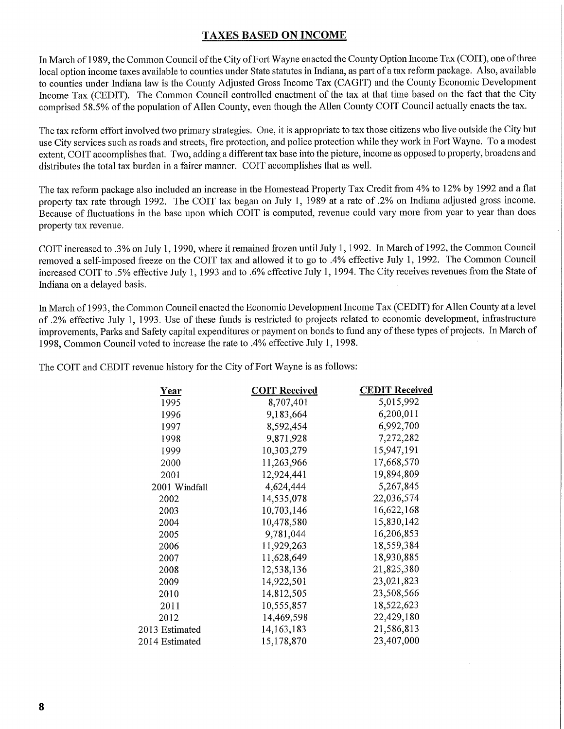### **TAXES BASED ON INCOME**

In March of 1989, the Common Council of the City of Fort Wayne enacted the County Option Income Tax (COIT), one of three local option income taxes available to counties under State statutes in Indiana, as part of a tax reform package. Also, available to counties under Indiana law is the County Adjusted Gross Income Tax (CAGIT) and the County Economic Development Income Tax (CEDIT). The Common Council controlled enactment of the tax at that time based on the fact that the City comprised 58.5% of the population of Allen County, even though the Allen County COIT Council actually enacts the tax.

The tax reform effort involved two primary strategies. One, it is appropriate to tax those citizens who live outside the City but use City services such as roads and streets, fire protection, and police protection while they work in Fort Wayne. To a modest extent, COIT accomplishes that. Two, adding a different tax base into the picture, income as opposed to property, broadens and distributes the total tax burden in a fairer manner. COIT accomplishes that as well.

The tax reform package also included an increase in the Homestead Property Tax Credit from 4% to 12% by 1992 and a flat property tax rate through 1992. The COIT tax began on July 1, 1989 at a rate of .2% on Indiana adjusted gross income. Because of fluctuations in the base upon which COIT is computed, revenue could vary more from year to year than does property tax revenue.

COIT increased to .3% on July 1,1990, where it remained frozen until July 1,1992. In March of 1992, the Common Council removed a self-imposed freeze on the COIT tax and allowed it to go to .4% effective July 1, 1992. The Common Council increased COIT to .5% effective July 1, 1993 and to .6% effective July 1, 1994. The City receives revenues from the State of Indiana on a delayed basis.

hi March of 1993, the Common Council enacted the Economic Development Income Tax (CEDIT) for Allen County at a level of .2% effective July 1, 1993. Use of these funds is restricted to projects related to economic development, infrastructure improvements, Parks and Safety capital expenditures or payment on bonds to fund any of these types of projects. In March of 1998, Common Council voted to increase the rate to .4% effective July 1, 1998.

The COIT and CEDIT revenue history for the City of Fort Wayne is as follows:

| Year           | <b>COIT Received</b> | <b>CEDIT Received</b> |
|----------------|----------------------|-----------------------|
| 1995           | 8,707,401            | 5,015,992             |
| 1996           | 9,183,664            | 6,200,011             |
| 1997           | 8,592,454            | 6,992,700             |
| 1998           | 9,871,928            | 7,272,282             |
| 1999           | 10,303,279           | 15,947,191            |
| 2000           | 11,263,966           | 17,668,570            |
| 2001           | 12,924,441           | 19,894,809            |
| 2001 Windfall  | 4,624,444            | 5,267,845             |
| 2002           | 14,535,078           | 22,036,574            |
| 2003           | 10,703,146           | 16,622,168            |
| 2004           | 10,478,580           | 15,830,142            |
| 2005           | 9,781,044            | 16,206,853            |
| 2006           | 11,929,263           | 18,559,384            |
| 2007           | 11,628,649           | 18,930,885            |
| 2008           | 12,538,136           | 21,825,380            |
| 2009           | 14,922,501           | 23,021,823            |
| 2010           | 14,812,505           | 23,508,566            |
| 2011           | 10,555,857           | 18,522,623            |
| 2012           | 14,469,598           | 22,429,180            |
| 2013 Estimated | 14,163,183           | 21,586,813            |
| 2014 Estimated | 15,178,870           | 23,407,000            |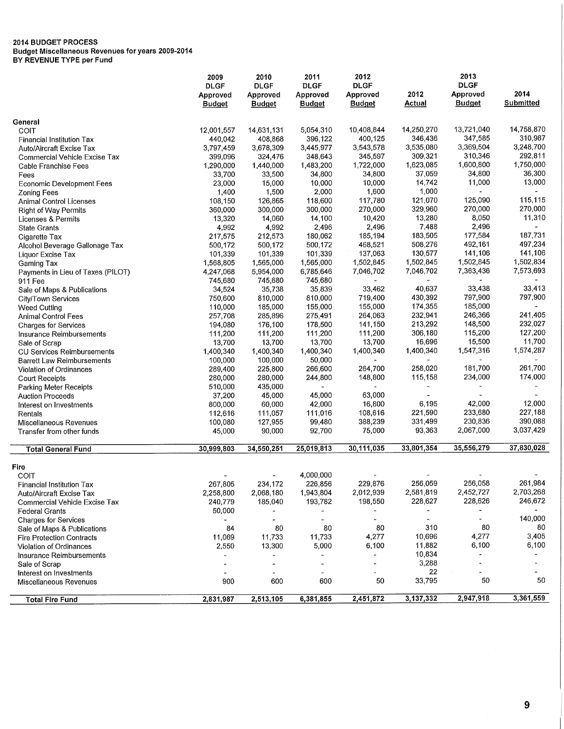**Budget Miscellaneous Revenues for years 2009-2014** 

**BY REVENUE TYPE per Fund** 

| 2014<br>2012<br>Approved<br>Approved<br>Approved<br>Approved<br>Approved<br><b>Budget</b><br><b>Submitted</b><br><b>Actual</b><br><b>Budget</b><br><b>Budget</b><br><b>Budget</b><br><b>Budget</b><br>General<br>14,758,870<br>14,250,270<br>13,721,040<br>5,054,310<br>10,408,844<br>12,001,557<br>14,631,131<br>COIT<br>347,585<br>310,987<br>400,125<br>346,436<br>396,122<br>440,042<br>408,868<br><b>Financial Institution Tax</b><br>3,369,504<br>3,248,700<br>3,543,578<br>3,535,080<br>3,797,459<br>3,678,309<br>3,445,977<br>Auto/Aircraft Excise Tax<br>292,811<br>345,597<br>309,321<br>310,346<br>324,476<br>348,643<br>399,096<br><b>Commercial Vehicle Excise Tax</b><br>1,600,800<br>1,750,000<br>1,722,000<br>1,623,085<br>1,483,200<br>1,290,000<br>1,440,000<br>Cable Franchise Fees<br>37,059<br>34,800<br>36,300<br>34,800<br>33,700<br>33,500<br>34,800<br>Fees<br>13,000<br>14,742<br>11,000<br>10,000<br>23,000<br>15,000<br>10,000<br><b>Economic Development Fees</b><br>1,000<br>1,600<br>1,500<br>2,000<br>1,400<br><b>Zoning Fees</b><br>115.115<br>125,090<br>117,780<br>121,070<br>108,150<br>126,865<br>118,600<br>Animal Control Licenses<br>270,000<br>270,000<br>270,000<br>329,960<br>300,000<br>300,000<br>360,000<br><b>Right of Way Permits</b><br>11,310<br>13,280<br>8,050<br>10,420<br>13,320<br>14,060<br>14,100<br>Licenses & Permits<br>2,496<br>7,488<br>2,496<br>2,496<br>4,992<br>4,992<br><b>State Grants</b><br>183,505<br>177,584<br>187,731<br>185,194<br>180,062<br>217,575<br>212,573<br>Cigarette Tax<br>492,161<br>497,234<br>468,521<br>508,276<br>500,172<br>500,172<br>500,172<br>Alcohol Beverage Gallonage Tax<br>141,106<br>141,106<br>137,063<br>130,577<br>101,339<br>101,339<br>101,339<br>Liquor Excise Tax<br>1,502,834<br>1,502,845<br>1,502,845<br>1,502,845<br>1,565,000<br>1,565,000<br>1,568,805<br>Gaming Tax<br>7,573,693<br>7,363,436<br>6,785,646<br>7,046,702<br>7,046,702<br>4,247,068<br>5,954,000<br>Payments in Lieu of Taxes (PILOT)<br>745,680<br>745,680<br>745,680<br>911 Fee<br>33,438<br>33,413<br>40,637<br>35,738<br>35,839<br>33,462<br>34,524<br>Sale of Maps & Publications<br>430,392<br>797,900<br>797,900<br>810,000<br>719,400<br>750,600<br>810,000<br>City/Town Services<br>155,000<br>174,355<br>185,000<br>185,000<br>110,000<br>155,000<br><b>Weed Cutting</b><br>232,941<br>246,366<br>241,405<br>285,896<br>264,063<br>275,491<br>257,708<br><b>Animal Control Fees</b><br>232,027<br>213,292<br>148,500<br>176,100<br>178,500<br>141,150<br>194,080<br><b>Charges for Services</b><br>127,200<br>111,200<br>306,180<br>115,200<br>111,200<br>111,200<br>111,200<br>Insurance Reimbursements<br>11,700<br>13,700<br>16,696<br>15,500<br>13,700<br>13,700<br>13,700<br>Sale of Scrap<br>1,547,316<br>1,574,287<br>1,400,340<br>1,400,340<br>1,400,340<br>1,400,340<br>1,400,340<br><b>CU Services Reimbursements</b><br>100,000<br>50,000<br>100,000<br><b>Barrett Law Reimbursements</b><br>261,700<br>181,700<br>225,800<br>264,700<br>258,020<br>266,600<br>289,400<br>Violation of Ordinances<br>174,000<br>115,158<br>234,000<br>280,000<br>244,800<br>148,800<br>280,000<br><b>Court Receipts</b><br>435,000<br>510,000<br>Parking Meter Receipts<br>37,200<br>45,000<br>45,000<br>63.000<br><b>Auction Proceeds</b><br>42,000<br>12,000<br>16,800<br>6,195<br>800,000<br>60,000<br>42,000<br>Interest on Investments<br>227,188<br>221,590<br>233,680<br>111,057<br>111,016<br>108,616<br>112,616<br>Rentals<br>390,088<br>388,239<br>331,499<br>230,836<br>127,955<br>99,480<br>100,080<br>Miscellaneous Revenues<br>3,037,429<br>75,000<br>93,363<br>2,067,000<br>90,000<br>92,700<br>45,000<br>Transfer from other funds<br>35,556,279<br>37,830,028<br>30,111,035<br>33,801,354<br>25,019,813<br>30,999,803<br>34,550,251<br><b>Total General Fund</b><br>Fire<br>4,000,000<br>COIT<br>256,058<br>261,984<br>229,876<br>256,059<br>267,805<br>234,172<br>226,856<br><b>Financial Institution Tax</b><br>2,581,819<br>2,452,727<br>2,703,268<br>2,012,939<br>1,943,804<br>2,258,800<br>2,068,180<br>Auto/Aircraft Excise Tax<br>246,672<br>228,626<br>193,782<br>198,550<br>228,627<br>240,779<br>185,040<br>Commercial Vehicle Excise Tax<br>50,000<br><b>Federal Grants</b><br>$\blacksquare$<br>$\overline{\phantom{a}}$<br>$\overline{\phantom{a}}$<br>140,000<br><b>Charges for Services</b><br>$\overline{\phantom{a}}$<br>$\overline{\phantom{0}}$<br>80<br>310<br>80<br>80<br>84<br>80<br>80<br>Sale of Maps & Publications<br>3,405<br>10,696<br>4,277<br>11,733<br>4,277<br>11,069<br>11,733<br><b>Fire Protection Contracts</b><br>6,100<br>11,882<br>6,100<br>5,000<br>6,100<br>2,550<br>13,300<br>Violation of Ordinances<br>10,834<br>$\overline{\phantom{a}}$<br>Insurance Reimbursements<br>$\blacksquare$<br>3,288<br>Sale of Scrap<br>22<br>Interest on Investments<br>50<br>33,795<br>50<br>600<br>900<br>600<br>50<br>Miscellaneous Revenues<br>2,947,918<br>2,451,872<br>3,137,332<br>3,361,559<br>2,831,987<br>2,513,105<br>6,381,855<br><b>Total Fire Fund</b> | 2009        | 2010        | 2011        | 2012        | 2013        |  |
|------------------------------------------------------------------------------------------------------------------------------------------------------------------------------------------------------------------------------------------------------------------------------------------------------------------------------------------------------------------------------------------------------------------------------------------------------------------------------------------------------------------------------------------------------------------------------------------------------------------------------------------------------------------------------------------------------------------------------------------------------------------------------------------------------------------------------------------------------------------------------------------------------------------------------------------------------------------------------------------------------------------------------------------------------------------------------------------------------------------------------------------------------------------------------------------------------------------------------------------------------------------------------------------------------------------------------------------------------------------------------------------------------------------------------------------------------------------------------------------------------------------------------------------------------------------------------------------------------------------------------------------------------------------------------------------------------------------------------------------------------------------------------------------------------------------------------------------------------------------------------------------------------------------------------------------------------------------------------------------------------------------------------------------------------------------------------------------------------------------------------------------------------------------------------------------------------------------------------------------------------------------------------------------------------------------------------------------------------------------------------------------------------------------------------------------------------------------------------------------------------------------------------------------------------------------------------------------------------------------------------------------------------------------------------------------------------------------------------------------------------------------------------------------------------------------------------------------------------------------------------------------------------------------------------------------------------------------------------------------------------------------------------------------------------------------------------------------------------------------------------------------------------------------------------------------------------------------------------------------------------------------------------------------------------------------------------------------------------------------------------------------------------------------------------------------------------------------------------------------------------------------------------------------------------------------------------------------------------------------------------------------------------------------------------------------------------------------------------------------------------------------------------------------------------------------------------------------------------------------------------------------------------------------------------------------------------------------------------------------------------------------------------------------------------------------------------------------------------------------------------------------------------------------------------------------------------------------------------------------------------------------------------------------------------------------------------------------------------------------------------------------------------------------------------------------------------------------------------------------------------------------------------------------------------------------------------------------------------------------------------------------------------------------------------------------------------------------------------------------------------------------------------------------------------------------------------------------------------------------------------------------------------------------------------------------------------------------------------------------------------------------------------------------------------------------------------------------------------|-------------|-------------|-------------|-------------|-------------|--|
|                                                                                                                                                                                                                                                                                                                                                                                                                                                                                                                                                                                                                                                                                                                                                                                                                                                                                                                                                                                                                                                                                                                                                                                                                                                                                                                                                                                                                                                                                                                                                                                                                                                                                                                                                                                                                                                                                                                                                                                                                                                                                                                                                                                                                                                                                                                                                                                                                                                                                                                                                                                                                                                                                                                                                                                                                                                                                                                                                                                                                                                                                                                                                                                                                                                                                                                                                                                                                                                                                                                                                                                                                                                                                                                                                                                                                                                                                                                                                                                                                                                                                                                                                                                                                                                                                                                                                                                                                                                                                                                                                                                                                                                                                                                                                                                                                                                                                                                                                                                                                                                                                                      | <b>DLGF</b> | <b>DLGF</b> | <b>DLGF</b> | <b>DLGF</b> | <b>DLGF</b> |  |
|                                                                                                                                                                                                                                                                                                                                                                                                                                                                                                                                                                                                                                                                                                                                                                                                                                                                                                                                                                                                                                                                                                                                                                                                                                                                                                                                                                                                                                                                                                                                                                                                                                                                                                                                                                                                                                                                                                                                                                                                                                                                                                                                                                                                                                                                                                                                                                                                                                                                                                                                                                                                                                                                                                                                                                                                                                                                                                                                                                                                                                                                                                                                                                                                                                                                                                                                                                                                                                                                                                                                                                                                                                                                                                                                                                                                                                                                                                                                                                                                                                                                                                                                                                                                                                                                                                                                                                                                                                                                                                                                                                                                                                                                                                                                                                                                                                                                                                                                                                                                                                                                                                      |             |             |             |             |             |  |
|                                                                                                                                                                                                                                                                                                                                                                                                                                                                                                                                                                                                                                                                                                                                                                                                                                                                                                                                                                                                                                                                                                                                                                                                                                                                                                                                                                                                                                                                                                                                                                                                                                                                                                                                                                                                                                                                                                                                                                                                                                                                                                                                                                                                                                                                                                                                                                                                                                                                                                                                                                                                                                                                                                                                                                                                                                                                                                                                                                                                                                                                                                                                                                                                                                                                                                                                                                                                                                                                                                                                                                                                                                                                                                                                                                                                                                                                                                                                                                                                                                                                                                                                                                                                                                                                                                                                                                                                                                                                                                                                                                                                                                                                                                                                                                                                                                                                                                                                                                                                                                                                                                      |             |             |             |             |             |  |
|                                                                                                                                                                                                                                                                                                                                                                                                                                                                                                                                                                                                                                                                                                                                                                                                                                                                                                                                                                                                                                                                                                                                                                                                                                                                                                                                                                                                                                                                                                                                                                                                                                                                                                                                                                                                                                                                                                                                                                                                                                                                                                                                                                                                                                                                                                                                                                                                                                                                                                                                                                                                                                                                                                                                                                                                                                                                                                                                                                                                                                                                                                                                                                                                                                                                                                                                                                                                                                                                                                                                                                                                                                                                                                                                                                                                                                                                                                                                                                                                                                                                                                                                                                                                                                                                                                                                                                                                                                                                                                                                                                                                                                                                                                                                                                                                                                                                                                                                                                                                                                                                                                      |             |             |             |             |             |  |
|                                                                                                                                                                                                                                                                                                                                                                                                                                                                                                                                                                                                                                                                                                                                                                                                                                                                                                                                                                                                                                                                                                                                                                                                                                                                                                                                                                                                                                                                                                                                                                                                                                                                                                                                                                                                                                                                                                                                                                                                                                                                                                                                                                                                                                                                                                                                                                                                                                                                                                                                                                                                                                                                                                                                                                                                                                                                                                                                                                                                                                                                                                                                                                                                                                                                                                                                                                                                                                                                                                                                                                                                                                                                                                                                                                                                                                                                                                                                                                                                                                                                                                                                                                                                                                                                                                                                                                                                                                                                                                                                                                                                                                                                                                                                                                                                                                                                                                                                                                                                                                                                                                      |             |             |             |             |             |  |
|                                                                                                                                                                                                                                                                                                                                                                                                                                                                                                                                                                                                                                                                                                                                                                                                                                                                                                                                                                                                                                                                                                                                                                                                                                                                                                                                                                                                                                                                                                                                                                                                                                                                                                                                                                                                                                                                                                                                                                                                                                                                                                                                                                                                                                                                                                                                                                                                                                                                                                                                                                                                                                                                                                                                                                                                                                                                                                                                                                                                                                                                                                                                                                                                                                                                                                                                                                                                                                                                                                                                                                                                                                                                                                                                                                                                                                                                                                                                                                                                                                                                                                                                                                                                                                                                                                                                                                                                                                                                                                                                                                                                                                                                                                                                                                                                                                                                                                                                                                                                                                                                                                      |             |             |             |             |             |  |
|                                                                                                                                                                                                                                                                                                                                                                                                                                                                                                                                                                                                                                                                                                                                                                                                                                                                                                                                                                                                                                                                                                                                                                                                                                                                                                                                                                                                                                                                                                                                                                                                                                                                                                                                                                                                                                                                                                                                                                                                                                                                                                                                                                                                                                                                                                                                                                                                                                                                                                                                                                                                                                                                                                                                                                                                                                                                                                                                                                                                                                                                                                                                                                                                                                                                                                                                                                                                                                                                                                                                                                                                                                                                                                                                                                                                                                                                                                                                                                                                                                                                                                                                                                                                                                                                                                                                                                                                                                                                                                                                                                                                                                                                                                                                                                                                                                                                                                                                                                                                                                                                                                      |             |             |             |             |             |  |
|                                                                                                                                                                                                                                                                                                                                                                                                                                                                                                                                                                                                                                                                                                                                                                                                                                                                                                                                                                                                                                                                                                                                                                                                                                                                                                                                                                                                                                                                                                                                                                                                                                                                                                                                                                                                                                                                                                                                                                                                                                                                                                                                                                                                                                                                                                                                                                                                                                                                                                                                                                                                                                                                                                                                                                                                                                                                                                                                                                                                                                                                                                                                                                                                                                                                                                                                                                                                                                                                                                                                                                                                                                                                                                                                                                                                                                                                                                                                                                                                                                                                                                                                                                                                                                                                                                                                                                                                                                                                                                                                                                                                                                                                                                                                                                                                                                                                                                                                                                                                                                                                                                      |             |             |             |             |             |  |
|                                                                                                                                                                                                                                                                                                                                                                                                                                                                                                                                                                                                                                                                                                                                                                                                                                                                                                                                                                                                                                                                                                                                                                                                                                                                                                                                                                                                                                                                                                                                                                                                                                                                                                                                                                                                                                                                                                                                                                                                                                                                                                                                                                                                                                                                                                                                                                                                                                                                                                                                                                                                                                                                                                                                                                                                                                                                                                                                                                                                                                                                                                                                                                                                                                                                                                                                                                                                                                                                                                                                                                                                                                                                                                                                                                                                                                                                                                                                                                                                                                                                                                                                                                                                                                                                                                                                                                                                                                                                                                                                                                                                                                                                                                                                                                                                                                                                                                                                                                                                                                                                                                      |             |             |             |             |             |  |
|                                                                                                                                                                                                                                                                                                                                                                                                                                                                                                                                                                                                                                                                                                                                                                                                                                                                                                                                                                                                                                                                                                                                                                                                                                                                                                                                                                                                                                                                                                                                                                                                                                                                                                                                                                                                                                                                                                                                                                                                                                                                                                                                                                                                                                                                                                                                                                                                                                                                                                                                                                                                                                                                                                                                                                                                                                                                                                                                                                                                                                                                                                                                                                                                                                                                                                                                                                                                                                                                                                                                                                                                                                                                                                                                                                                                                                                                                                                                                                                                                                                                                                                                                                                                                                                                                                                                                                                                                                                                                                                                                                                                                                                                                                                                                                                                                                                                                                                                                                                                                                                                                                      |             |             |             |             |             |  |
|                                                                                                                                                                                                                                                                                                                                                                                                                                                                                                                                                                                                                                                                                                                                                                                                                                                                                                                                                                                                                                                                                                                                                                                                                                                                                                                                                                                                                                                                                                                                                                                                                                                                                                                                                                                                                                                                                                                                                                                                                                                                                                                                                                                                                                                                                                                                                                                                                                                                                                                                                                                                                                                                                                                                                                                                                                                                                                                                                                                                                                                                                                                                                                                                                                                                                                                                                                                                                                                                                                                                                                                                                                                                                                                                                                                                                                                                                                                                                                                                                                                                                                                                                                                                                                                                                                                                                                                                                                                                                                                                                                                                                                                                                                                                                                                                                                                                                                                                                                                                                                                                                                      |             |             |             |             |             |  |
|                                                                                                                                                                                                                                                                                                                                                                                                                                                                                                                                                                                                                                                                                                                                                                                                                                                                                                                                                                                                                                                                                                                                                                                                                                                                                                                                                                                                                                                                                                                                                                                                                                                                                                                                                                                                                                                                                                                                                                                                                                                                                                                                                                                                                                                                                                                                                                                                                                                                                                                                                                                                                                                                                                                                                                                                                                                                                                                                                                                                                                                                                                                                                                                                                                                                                                                                                                                                                                                                                                                                                                                                                                                                                                                                                                                                                                                                                                                                                                                                                                                                                                                                                                                                                                                                                                                                                                                                                                                                                                                                                                                                                                                                                                                                                                                                                                                                                                                                                                                                                                                                                                      |             |             |             |             |             |  |
|                                                                                                                                                                                                                                                                                                                                                                                                                                                                                                                                                                                                                                                                                                                                                                                                                                                                                                                                                                                                                                                                                                                                                                                                                                                                                                                                                                                                                                                                                                                                                                                                                                                                                                                                                                                                                                                                                                                                                                                                                                                                                                                                                                                                                                                                                                                                                                                                                                                                                                                                                                                                                                                                                                                                                                                                                                                                                                                                                                                                                                                                                                                                                                                                                                                                                                                                                                                                                                                                                                                                                                                                                                                                                                                                                                                                                                                                                                                                                                                                                                                                                                                                                                                                                                                                                                                                                                                                                                                                                                                                                                                                                                                                                                                                                                                                                                                                                                                                                                                                                                                                                                      |             |             |             |             |             |  |
|                                                                                                                                                                                                                                                                                                                                                                                                                                                                                                                                                                                                                                                                                                                                                                                                                                                                                                                                                                                                                                                                                                                                                                                                                                                                                                                                                                                                                                                                                                                                                                                                                                                                                                                                                                                                                                                                                                                                                                                                                                                                                                                                                                                                                                                                                                                                                                                                                                                                                                                                                                                                                                                                                                                                                                                                                                                                                                                                                                                                                                                                                                                                                                                                                                                                                                                                                                                                                                                                                                                                                                                                                                                                                                                                                                                                                                                                                                                                                                                                                                                                                                                                                                                                                                                                                                                                                                                                                                                                                                                                                                                                                                                                                                                                                                                                                                                                                                                                                                                                                                                                                                      |             |             |             |             |             |  |
|                                                                                                                                                                                                                                                                                                                                                                                                                                                                                                                                                                                                                                                                                                                                                                                                                                                                                                                                                                                                                                                                                                                                                                                                                                                                                                                                                                                                                                                                                                                                                                                                                                                                                                                                                                                                                                                                                                                                                                                                                                                                                                                                                                                                                                                                                                                                                                                                                                                                                                                                                                                                                                                                                                                                                                                                                                                                                                                                                                                                                                                                                                                                                                                                                                                                                                                                                                                                                                                                                                                                                                                                                                                                                                                                                                                                                                                                                                                                                                                                                                                                                                                                                                                                                                                                                                                                                                                                                                                                                                                                                                                                                                                                                                                                                                                                                                                                                                                                                                                                                                                                                                      |             |             |             |             |             |  |
|                                                                                                                                                                                                                                                                                                                                                                                                                                                                                                                                                                                                                                                                                                                                                                                                                                                                                                                                                                                                                                                                                                                                                                                                                                                                                                                                                                                                                                                                                                                                                                                                                                                                                                                                                                                                                                                                                                                                                                                                                                                                                                                                                                                                                                                                                                                                                                                                                                                                                                                                                                                                                                                                                                                                                                                                                                                                                                                                                                                                                                                                                                                                                                                                                                                                                                                                                                                                                                                                                                                                                                                                                                                                                                                                                                                                                                                                                                                                                                                                                                                                                                                                                                                                                                                                                                                                                                                                                                                                                                                                                                                                                                                                                                                                                                                                                                                                                                                                                                                                                                                                                                      |             |             |             |             |             |  |
|                                                                                                                                                                                                                                                                                                                                                                                                                                                                                                                                                                                                                                                                                                                                                                                                                                                                                                                                                                                                                                                                                                                                                                                                                                                                                                                                                                                                                                                                                                                                                                                                                                                                                                                                                                                                                                                                                                                                                                                                                                                                                                                                                                                                                                                                                                                                                                                                                                                                                                                                                                                                                                                                                                                                                                                                                                                                                                                                                                                                                                                                                                                                                                                                                                                                                                                                                                                                                                                                                                                                                                                                                                                                                                                                                                                                                                                                                                                                                                                                                                                                                                                                                                                                                                                                                                                                                                                                                                                                                                                                                                                                                                                                                                                                                                                                                                                                                                                                                                                                                                                                                                      |             |             |             |             |             |  |
|                                                                                                                                                                                                                                                                                                                                                                                                                                                                                                                                                                                                                                                                                                                                                                                                                                                                                                                                                                                                                                                                                                                                                                                                                                                                                                                                                                                                                                                                                                                                                                                                                                                                                                                                                                                                                                                                                                                                                                                                                                                                                                                                                                                                                                                                                                                                                                                                                                                                                                                                                                                                                                                                                                                                                                                                                                                                                                                                                                                                                                                                                                                                                                                                                                                                                                                                                                                                                                                                                                                                                                                                                                                                                                                                                                                                                                                                                                                                                                                                                                                                                                                                                                                                                                                                                                                                                                                                                                                                                                                                                                                                                                                                                                                                                                                                                                                                                                                                                                                                                                                                                                      |             |             |             |             |             |  |
|                                                                                                                                                                                                                                                                                                                                                                                                                                                                                                                                                                                                                                                                                                                                                                                                                                                                                                                                                                                                                                                                                                                                                                                                                                                                                                                                                                                                                                                                                                                                                                                                                                                                                                                                                                                                                                                                                                                                                                                                                                                                                                                                                                                                                                                                                                                                                                                                                                                                                                                                                                                                                                                                                                                                                                                                                                                                                                                                                                                                                                                                                                                                                                                                                                                                                                                                                                                                                                                                                                                                                                                                                                                                                                                                                                                                                                                                                                                                                                                                                                                                                                                                                                                                                                                                                                                                                                                                                                                                                                                                                                                                                                                                                                                                                                                                                                                                                                                                                                                                                                                                                                      |             |             |             |             |             |  |
|                                                                                                                                                                                                                                                                                                                                                                                                                                                                                                                                                                                                                                                                                                                                                                                                                                                                                                                                                                                                                                                                                                                                                                                                                                                                                                                                                                                                                                                                                                                                                                                                                                                                                                                                                                                                                                                                                                                                                                                                                                                                                                                                                                                                                                                                                                                                                                                                                                                                                                                                                                                                                                                                                                                                                                                                                                                                                                                                                                                                                                                                                                                                                                                                                                                                                                                                                                                                                                                                                                                                                                                                                                                                                                                                                                                                                                                                                                                                                                                                                                                                                                                                                                                                                                                                                                                                                                                                                                                                                                                                                                                                                                                                                                                                                                                                                                                                                                                                                                                                                                                                                                      |             |             |             |             |             |  |
|                                                                                                                                                                                                                                                                                                                                                                                                                                                                                                                                                                                                                                                                                                                                                                                                                                                                                                                                                                                                                                                                                                                                                                                                                                                                                                                                                                                                                                                                                                                                                                                                                                                                                                                                                                                                                                                                                                                                                                                                                                                                                                                                                                                                                                                                                                                                                                                                                                                                                                                                                                                                                                                                                                                                                                                                                                                                                                                                                                                                                                                                                                                                                                                                                                                                                                                                                                                                                                                                                                                                                                                                                                                                                                                                                                                                                                                                                                                                                                                                                                                                                                                                                                                                                                                                                                                                                                                                                                                                                                                                                                                                                                                                                                                                                                                                                                                                                                                                                                                                                                                                                                      |             |             |             |             |             |  |
|                                                                                                                                                                                                                                                                                                                                                                                                                                                                                                                                                                                                                                                                                                                                                                                                                                                                                                                                                                                                                                                                                                                                                                                                                                                                                                                                                                                                                                                                                                                                                                                                                                                                                                                                                                                                                                                                                                                                                                                                                                                                                                                                                                                                                                                                                                                                                                                                                                                                                                                                                                                                                                                                                                                                                                                                                                                                                                                                                                                                                                                                                                                                                                                                                                                                                                                                                                                                                                                                                                                                                                                                                                                                                                                                                                                                                                                                                                                                                                                                                                                                                                                                                                                                                                                                                                                                                                                                                                                                                                                                                                                                                                                                                                                                                                                                                                                                                                                                                                                                                                                                                                      |             |             |             |             |             |  |
|                                                                                                                                                                                                                                                                                                                                                                                                                                                                                                                                                                                                                                                                                                                                                                                                                                                                                                                                                                                                                                                                                                                                                                                                                                                                                                                                                                                                                                                                                                                                                                                                                                                                                                                                                                                                                                                                                                                                                                                                                                                                                                                                                                                                                                                                                                                                                                                                                                                                                                                                                                                                                                                                                                                                                                                                                                                                                                                                                                                                                                                                                                                                                                                                                                                                                                                                                                                                                                                                                                                                                                                                                                                                                                                                                                                                                                                                                                                                                                                                                                                                                                                                                                                                                                                                                                                                                                                                                                                                                                                                                                                                                                                                                                                                                                                                                                                                                                                                                                                                                                                                                                      |             |             |             |             |             |  |
|                                                                                                                                                                                                                                                                                                                                                                                                                                                                                                                                                                                                                                                                                                                                                                                                                                                                                                                                                                                                                                                                                                                                                                                                                                                                                                                                                                                                                                                                                                                                                                                                                                                                                                                                                                                                                                                                                                                                                                                                                                                                                                                                                                                                                                                                                                                                                                                                                                                                                                                                                                                                                                                                                                                                                                                                                                                                                                                                                                                                                                                                                                                                                                                                                                                                                                                                                                                                                                                                                                                                                                                                                                                                                                                                                                                                                                                                                                                                                                                                                                                                                                                                                                                                                                                                                                                                                                                                                                                                                                                                                                                                                                                                                                                                                                                                                                                                                                                                                                                                                                                                                                      |             |             |             |             |             |  |
|                                                                                                                                                                                                                                                                                                                                                                                                                                                                                                                                                                                                                                                                                                                                                                                                                                                                                                                                                                                                                                                                                                                                                                                                                                                                                                                                                                                                                                                                                                                                                                                                                                                                                                                                                                                                                                                                                                                                                                                                                                                                                                                                                                                                                                                                                                                                                                                                                                                                                                                                                                                                                                                                                                                                                                                                                                                                                                                                                                                                                                                                                                                                                                                                                                                                                                                                                                                                                                                                                                                                                                                                                                                                                                                                                                                                                                                                                                                                                                                                                                                                                                                                                                                                                                                                                                                                                                                                                                                                                                                                                                                                                                                                                                                                                                                                                                                                                                                                                                                                                                                                                                      |             |             |             |             |             |  |
|                                                                                                                                                                                                                                                                                                                                                                                                                                                                                                                                                                                                                                                                                                                                                                                                                                                                                                                                                                                                                                                                                                                                                                                                                                                                                                                                                                                                                                                                                                                                                                                                                                                                                                                                                                                                                                                                                                                                                                                                                                                                                                                                                                                                                                                                                                                                                                                                                                                                                                                                                                                                                                                                                                                                                                                                                                                                                                                                                                                                                                                                                                                                                                                                                                                                                                                                                                                                                                                                                                                                                                                                                                                                                                                                                                                                                                                                                                                                                                                                                                                                                                                                                                                                                                                                                                                                                                                                                                                                                                                                                                                                                                                                                                                                                                                                                                                                                                                                                                                                                                                                                                      |             |             |             |             |             |  |
|                                                                                                                                                                                                                                                                                                                                                                                                                                                                                                                                                                                                                                                                                                                                                                                                                                                                                                                                                                                                                                                                                                                                                                                                                                                                                                                                                                                                                                                                                                                                                                                                                                                                                                                                                                                                                                                                                                                                                                                                                                                                                                                                                                                                                                                                                                                                                                                                                                                                                                                                                                                                                                                                                                                                                                                                                                                                                                                                                                                                                                                                                                                                                                                                                                                                                                                                                                                                                                                                                                                                                                                                                                                                                                                                                                                                                                                                                                                                                                                                                                                                                                                                                                                                                                                                                                                                                                                                                                                                                                                                                                                                                                                                                                                                                                                                                                                                                                                                                                                                                                                                                                      |             |             |             |             |             |  |
|                                                                                                                                                                                                                                                                                                                                                                                                                                                                                                                                                                                                                                                                                                                                                                                                                                                                                                                                                                                                                                                                                                                                                                                                                                                                                                                                                                                                                                                                                                                                                                                                                                                                                                                                                                                                                                                                                                                                                                                                                                                                                                                                                                                                                                                                                                                                                                                                                                                                                                                                                                                                                                                                                                                                                                                                                                                                                                                                                                                                                                                                                                                                                                                                                                                                                                                                                                                                                                                                                                                                                                                                                                                                                                                                                                                                                                                                                                                                                                                                                                                                                                                                                                                                                                                                                                                                                                                                                                                                                                                                                                                                                                                                                                                                                                                                                                                                                                                                                                                                                                                                                                      |             |             |             |             |             |  |
|                                                                                                                                                                                                                                                                                                                                                                                                                                                                                                                                                                                                                                                                                                                                                                                                                                                                                                                                                                                                                                                                                                                                                                                                                                                                                                                                                                                                                                                                                                                                                                                                                                                                                                                                                                                                                                                                                                                                                                                                                                                                                                                                                                                                                                                                                                                                                                                                                                                                                                                                                                                                                                                                                                                                                                                                                                                                                                                                                                                                                                                                                                                                                                                                                                                                                                                                                                                                                                                                                                                                                                                                                                                                                                                                                                                                                                                                                                                                                                                                                                                                                                                                                                                                                                                                                                                                                                                                                                                                                                                                                                                                                                                                                                                                                                                                                                                                                                                                                                                                                                                                                                      |             |             |             |             |             |  |
|                                                                                                                                                                                                                                                                                                                                                                                                                                                                                                                                                                                                                                                                                                                                                                                                                                                                                                                                                                                                                                                                                                                                                                                                                                                                                                                                                                                                                                                                                                                                                                                                                                                                                                                                                                                                                                                                                                                                                                                                                                                                                                                                                                                                                                                                                                                                                                                                                                                                                                                                                                                                                                                                                                                                                                                                                                                                                                                                                                                                                                                                                                                                                                                                                                                                                                                                                                                                                                                                                                                                                                                                                                                                                                                                                                                                                                                                                                                                                                                                                                                                                                                                                                                                                                                                                                                                                                                                                                                                                                                                                                                                                                                                                                                                                                                                                                                                                                                                                                                                                                                                                                      |             |             |             |             |             |  |
|                                                                                                                                                                                                                                                                                                                                                                                                                                                                                                                                                                                                                                                                                                                                                                                                                                                                                                                                                                                                                                                                                                                                                                                                                                                                                                                                                                                                                                                                                                                                                                                                                                                                                                                                                                                                                                                                                                                                                                                                                                                                                                                                                                                                                                                                                                                                                                                                                                                                                                                                                                                                                                                                                                                                                                                                                                                                                                                                                                                                                                                                                                                                                                                                                                                                                                                                                                                                                                                                                                                                                                                                                                                                                                                                                                                                                                                                                                                                                                                                                                                                                                                                                                                                                                                                                                                                                                                                                                                                                                                                                                                                                                                                                                                                                                                                                                                                                                                                                                                                                                                                                                      |             |             |             |             |             |  |
|                                                                                                                                                                                                                                                                                                                                                                                                                                                                                                                                                                                                                                                                                                                                                                                                                                                                                                                                                                                                                                                                                                                                                                                                                                                                                                                                                                                                                                                                                                                                                                                                                                                                                                                                                                                                                                                                                                                                                                                                                                                                                                                                                                                                                                                                                                                                                                                                                                                                                                                                                                                                                                                                                                                                                                                                                                                                                                                                                                                                                                                                                                                                                                                                                                                                                                                                                                                                                                                                                                                                                                                                                                                                                                                                                                                                                                                                                                                                                                                                                                                                                                                                                                                                                                                                                                                                                                                                                                                                                                                                                                                                                                                                                                                                                                                                                                                                                                                                                                                                                                                                                                      |             |             |             |             |             |  |
|                                                                                                                                                                                                                                                                                                                                                                                                                                                                                                                                                                                                                                                                                                                                                                                                                                                                                                                                                                                                                                                                                                                                                                                                                                                                                                                                                                                                                                                                                                                                                                                                                                                                                                                                                                                                                                                                                                                                                                                                                                                                                                                                                                                                                                                                                                                                                                                                                                                                                                                                                                                                                                                                                                                                                                                                                                                                                                                                                                                                                                                                                                                                                                                                                                                                                                                                                                                                                                                                                                                                                                                                                                                                                                                                                                                                                                                                                                                                                                                                                                                                                                                                                                                                                                                                                                                                                                                                                                                                                                                                                                                                                                                                                                                                                                                                                                                                                                                                                                                                                                                                                                      |             |             |             |             |             |  |
|                                                                                                                                                                                                                                                                                                                                                                                                                                                                                                                                                                                                                                                                                                                                                                                                                                                                                                                                                                                                                                                                                                                                                                                                                                                                                                                                                                                                                                                                                                                                                                                                                                                                                                                                                                                                                                                                                                                                                                                                                                                                                                                                                                                                                                                                                                                                                                                                                                                                                                                                                                                                                                                                                                                                                                                                                                                                                                                                                                                                                                                                                                                                                                                                                                                                                                                                                                                                                                                                                                                                                                                                                                                                                                                                                                                                                                                                                                                                                                                                                                                                                                                                                                                                                                                                                                                                                                                                                                                                                                                                                                                                                                                                                                                                                                                                                                                                                                                                                                                                                                                                                                      |             |             |             |             |             |  |
|                                                                                                                                                                                                                                                                                                                                                                                                                                                                                                                                                                                                                                                                                                                                                                                                                                                                                                                                                                                                                                                                                                                                                                                                                                                                                                                                                                                                                                                                                                                                                                                                                                                                                                                                                                                                                                                                                                                                                                                                                                                                                                                                                                                                                                                                                                                                                                                                                                                                                                                                                                                                                                                                                                                                                                                                                                                                                                                                                                                                                                                                                                                                                                                                                                                                                                                                                                                                                                                                                                                                                                                                                                                                                                                                                                                                                                                                                                                                                                                                                                                                                                                                                                                                                                                                                                                                                                                                                                                                                                                                                                                                                                                                                                                                                                                                                                                                                                                                                                                                                                                                                                      |             |             |             |             |             |  |
|                                                                                                                                                                                                                                                                                                                                                                                                                                                                                                                                                                                                                                                                                                                                                                                                                                                                                                                                                                                                                                                                                                                                                                                                                                                                                                                                                                                                                                                                                                                                                                                                                                                                                                                                                                                                                                                                                                                                                                                                                                                                                                                                                                                                                                                                                                                                                                                                                                                                                                                                                                                                                                                                                                                                                                                                                                                                                                                                                                                                                                                                                                                                                                                                                                                                                                                                                                                                                                                                                                                                                                                                                                                                                                                                                                                                                                                                                                                                                                                                                                                                                                                                                                                                                                                                                                                                                                                                                                                                                                                                                                                                                                                                                                                                                                                                                                                                                                                                                                                                                                                                                                      |             |             |             |             |             |  |
|                                                                                                                                                                                                                                                                                                                                                                                                                                                                                                                                                                                                                                                                                                                                                                                                                                                                                                                                                                                                                                                                                                                                                                                                                                                                                                                                                                                                                                                                                                                                                                                                                                                                                                                                                                                                                                                                                                                                                                                                                                                                                                                                                                                                                                                                                                                                                                                                                                                                                                                                                                                                                                                                                                                                                                                                                                                                                                                                                                                                                                                                                                                                                                                                                                                                                                                                                                                                                                                                                                                                                                                                                                                                                                                                                                                                                                                                                                                                                                                                                                                                                                                                                                                                                                                                                                                                                                                                                                                                                                                                                                                                                                                                                                                                                                                                                                                                                                                                                                                                                                                                                                      |             |             |             |             |             |  |
|                                                                                                                                                                                                                                                                                                                                                                                                                                                                                                                                                                                                                                                                                                                                                                                                                                                                                                                                                                                                                                                                                                                                                                                                                                                                                                                                                                                                                                                                                                                                                                                                                                                                                                                                                                                                                                                                                                                                                                                                                                                                                                                                                                                                                                                                                                                                                                                                                                                                                                                                                                                                                                                                                                                                                                                                                                                                                                                                                                                                                                                                                                                                                                                                                                                                                                                                                                                                                                                                                                                                                                                                                                                                                                                                                                                                                                                                                                                                                                                                                                                                                                                                                                                                                                                                                                                                                                                                                                                                                                                                                                                                                                                                                                                                                                                                                                                                                                                                                                                                                                                                                                      |             |             |             |             |             |  |
|                                                                                                                                                                                                                                                                                                                                                                                                                                                                                                                                                                                                                                                                                                                                                                                                                                                                                                                                                                                                                                                                                                                                                                                                                                                                                                                                                                                                                                                                                                                                                                                                                                                                                                                                                                                                                                                                                                                                                                                                                                                                                                                                                                                                                                                                                                                                                                                                                                                                                                                                                                                                                                                                                                                                                                                                                                                                                                                                                                                                                                                                                                                                                                                                                                                                                                                                                                                                                                                                                                                                                                                                                                                                                                                                                                                                                                                                                                                                                                                                                                                                                                                                                                                                                                                                                                                                                                                                                                                                                                                                                                                                                                                                                                                                                                                                                                                                                                                                                                                                                                                                                                      |             |             |             |             |             |  |
|                                                                                                                                                                                                                                                                                                                                                                                                                                                                                                                                                                                                                                                                                                                                                                                                                                                                                                                                                                                                                                                                                                                                                                                                                                                                                                                                                                                                                                                                                                                                                                                                                                                                                                                                                                                                                                                                                                                                                                                                                                                                                                                                                                                                                                                                                                                                                                                                                                                                                                                                                                                                                                                                                                                                                                                                                                                                                                                                                                                                                                                                                                                                                                                                                                                                                                                                                                                                                                                                                                                                                                                                                                                                                                                                                                                                                                                                                                                                                                                                                                                                                                                                                                                                                                                                                                                                                                                                                                                                                                                                                                                                                                                                                                                                                                                                                                                                                                                                                                                                                                                                                                      |             |             |             |             |             |  |
|                                                                                                                                                                                                                                                                                                                                                                                                                                                                                                                                                                                                                                                                                                                                                                                                                                                                                                                                                                                                                                                                                                                                                                                                                                                                                                                                                                                                                                                                                                                                                                                                                                                                                                                                                                                                                                                                                                                                                                                                                                                                                                                                                                                                                                                                                                                                                                                                                                                                                                                                                                                                                                                                                                                                                                                                                                                                                                                                                                                                                                                                                                                                                                                                                                                                                                                                                                                                                                                                                                                                                                                                                                                                                                                                                                                                                                                                                                                                                                                                                                                                                                                                                                                                                                                                                                                                                                                                                                                                                                                                                                                                                                                                                                                                                                                                                                                                                                                                                                                                                                                                                                      |             |             |             |             |             |  |
|                                                                                                                                                                                                                                                                                                                                                                                                                                                                                                                                                                                                                                                                                                                                                                                                                                                                                                                                                                                                                                                                                                                                                                                                                                                                                                                                                                                                                                                                                                                                                                                                                                                                                                                                                                                                                                                                                                                                                                                                                                                                                                                                                                                                                                                                                                                                                                                                                                                                                                                                                                                                                                                                                                                                                                                                                                                                                                                                                                                                                                                                                                                                                                                                                                                                                                                                                                                                                                                                                                                                                                                                                                                                                                                                                                                                                                                                                                                                                                                                                                                                                                                                                                                                                                                                                                                                                                                                                                                                                                                                                                                                                                                                                                                                                                                                                                                                                                                                                                                                                                                                                                      |             |             |             |             |             |  |
|                                                                                                                                                                                                                                                                                                                                                                                                                                                                                                                                                                                                                                                                                                                                                                                                                                                                                                                                                                                                                                                                                                                                                                                                                                                                                                                                                                                                                                                                                                                                                                                                                                                                                                                                                                                                                                                                                                                                                                                                                                                                                                                                                                                                                                                                                                                                                                                                                                                                                                                                                                                                                                                                                                                                                                                                                                                                                                                                                                                                                                                                                                                                                                                                                                                                                                                                                                                                                                                                                                                                                                                                                                                                                                                                                                                                                                                                                                                                                                                                                                                                                                                                                                                                                                                                                                                                                                                                                                                                                                                                                                                                                                                                                                                                                                                                                                                                                                                                                                                                                                                                                                      |             |             |             |             |             |  |
|                                                                                                                                                                                                                                                                                                                                                                                                                                                                                                                                                                                                                                                                                                                                                                                                                                                                                                                                                                                                                                                                                                                                                                                                                                                                                                                                                                                                                                                                                                                                                                                                                                                                                                                                                                                                                                                                                                                                                                                                                                                                                                                                                                                                                                                                                                                                                                                                                                                                                                                                                                                                                                                                                                                                                                                                                                                                                                                                                                                                                                                                                                                                                                                                                                                                                                                                                                                                                                                                                                                                                                                                                                                                                                                                                                                                                                                                                                                                                                                                                                                                                                                                                                                                                                                                                                                                                                                                                                                                                                                                                                                                                                                                                                                                                                                                                                                                                                                                                                                                                                                                                                      |             |             |             |             |             |  |
|                                                                                                                                                                                                                                                                                                                                                                                                                                                                                                                                                                                                                                                                                                                                                                                                                                                                                                                                                                                                                                                                                                                                                                                                                                                                                                                                                                                                                                                                                                                                                                                                                                                                                                                                                                                                                                                                                                                                                                                                                                                                                                                                                                                                                                                                                                                                                                                                                                                                                                                                                                                                                                                                                                                                                                                                                                                                                                                                                                                                                                                                                                                                                                                                                                                                                                                                                                                                                                                                                                                                                                                                                                                                                                                                                                                                                                                                                                                                                                                                                                                                                                                                                                                                                                                                                                                                                                                                                                                                                                                                                                                                                                                                                                                                                                                                                                                                                                                                                                                                                                                                                                      |             |             |             |             |             |  |
|                                                                                                                                                                                                                                                                                                                                                                                                                                                                                                                                                                                                                                                                                                                                                                                                                                                                                                                                                                                                                                                                                                                                                                                                                                                                                                                                                                                                                                                                                                                                                                                                                                                                                                                                                                                                                                                                                                                                                                                                                                                                                                                                                                                                                                                                                                                                                                                                                                                                                                                                                                                                                                                                                                                                                                                                                                                                                                                                                                                                                                                                                                                                                                                                                                                                                                                                                                                                                                                                                                                                                                                                                                                                                                                                                                                                                                                                                                                                                                                                                                                                                                                                                                                                                                                                                                                                                                                                                                                                                                                                                                                                                                                                                                                                                                                                                                                                                                                                                                                                                                                                                                      |             |             |             |             |             |  |
|                                                                                                                                                                                                                                                                                                                                                                                                                                                                                                                                                                                                                                                                                                                                                                                                                                                                                                                                                                                                                                                                                                                                                                                                                                                                                                                                                                                                                                                                                                                                                                                                                                                                                                                                                                                                                                                                                                                                                                                                                                                                                                                                                                                                                                                                                                                                                                                                                                                                                                                                                                                                                                                                                                                                                                                                                                                                                                                                                                                                                                                                                                                                                                                                                                                                                                                                                                                                                                                                                                                                                                                                                                                                                                                                                                                                                                                                                                                                                                                                                                                                                                                                                                                                                                                                                                                                                                                                                                                                                                                                                                                                                                                                                                                                                                                                                                                                                                                                                                                                                                                                                                      |             |             |             |             |             |  |
|                                                                                                                                                                                                                                                                                                                                                                                                                                                                                                                                                                                                                                                                                                                                                                                                                                                                                                                                                                                                                                                                                                                                                                                                                                                                                                                                                                                                                                                                                                                                                                                                                                                                                                                                                                                                                                                                                                                                                                                                                                                                                                                                                                                                                                                                                                                                                                                                                                                                                                                                                                                                                                                                                                                                                                                                                                                                                                                                                                                                                                                                                                                                                                                                                                                                                                                                                                                                                                                                                                                                                                                                                                                                                                                                                                                                                                                                                                                                                                                                                                                                                                                                                                                                                                                                                                                                                                                                                                                                                                                                                                                                                                                                                                                                                                                                                                                                                                                                                                                                                                                                                                      |             |             |             |             |             |  |
|                                                                                                                                                                                                                                                                                                                                                                                                                                                                                                                                                                                                                                                                                                                                                                                                                                                                                                                                                                                                                                                                                                                                                                                                                                                                                                                                                                                                                                                                                                                                                                                                                                                                                                                                                                                                                                                                                                                                                                                                                                                                                                                                                                                                                                                                                                                                                                                                                                                                                                                                                                                                                                                                                                                                                                                                                                                                                                                                                                                                                                                                                                                                                                                                                                                                                                                                                                                                                                                                                                                                                                                                                                                                                                                                                                                                                                                                                                                                                                                                                                                                                                                                                                                                                                                                                                                                                                                                                                                                                                                                                                                                                                                                                                                                                                                                                                                                                                                                                                                                                                                                                                      |             |             |             |             |             |  |
|                                                                                                                                                                                                                                                                                                                                                                                                                                                                                                                                                                                                                                                                                                                                                                                                                                                                                                                                                                                                                                                                                                                                                                                                                                                                                                                                                                                                                                                                                                                                                                                                                                                                                                                                                                                                                                                                                                                                                                                                                                                                                                                                                                                                                                                                                                                                                                                                                                                                                                                                                                                                                                                                                                                                                                                                                                                                                                                                                                                                                                                                                                                                                                                                                                                                                                                                                                                                                                                                                                                                                                                                                                                                                                                                                                                                                                                                                                                                                                                                                                                                                                                                                                                                                                                                                                                                                                                                                                                                                                                                                                                                                                                                                                                                                                                                                                                                                                                                                                                                                                                                                                      |             |             |             |             |             |  |
|                                                                                                                                                                                                                                                                                                                                                                                                                                                                                                                                                                                                                                                                                                                                                                                                                                                                                                                                                                                                                                                                                                                                                                                                                                                                                                                                                                                                                                                                                                                                                                                                                                                                                                                                                                                                                                                                                                                                                                                                                                                                                                                                                                                                                                                                                                                                                                                                                                                                                                                                                                                                                                                                                                                                                                                                                                                                                                                                                                                                                                                                                                                                                                                                                                                                                                                                                                                                                                                                                                                                                                                                                                                                                                                                                                                                                                                                                                                                                                                                                                                                                                                                                                                                                                                                                                                                                                                                                                                                                                                                                                                                                                                                                                                                                                                                                                                                                                                                                                                                                                                                                                      |             |             |             |             |             |  |
|                                                                                                                                                                                                                                                                                                                                                                                                                                                                                                                                                                                                                                                                                                                                                                                                                                                                                                                                                                                                                                                                                                                                                                                                                                                                                                                                                                                                                                                                                                                                                                                                                                                                                                                                                                                                                                                                                                                                                                                                                                                                                                                                                                                                                                                                                                                                                                                                                                                                                                                                                                                                                                                                                                                                                                                                                                                                                                                                                                                                                                                                                                                                                                                                                                                                                                                                                                                                                                                                                                                                                                                                                                                                                                                                                                                                                                                                                                                                                                                                                                                                                                                                                                                                                                                                                                                                                                                                                                                                                                                                                                                                                                                                                                                                                                                                                                                                                                                                                                                                                                                                                                      |             |             |             |             |             |  |
|                                                                                                                                                                                                                                                                                                                                                                                                                                                                                                                                                                                                                                                                                                                                                                                                                                                                                                                                                                                                                                                                                                                                                                                                                                                                                                                                                                                                                                                                                                                                                                                                                                                                                                                                                                                                                                                                                                                                                                                                                                                                                                                                                                                                                                                                                                                                                                                                                                                                                                                                                                                                                                                                                                                                                                                                                                                                                                                                                                                                                                                                                                                                                                                                                                                                                                                                                                                                                                                                                                                                                                                                                                                                                                                                                                                                                                                                                                                                                                                                                                                                                                                                                                                                                                                                                                                                                                                                                                                                                                                                                                                                                                                                                                                                                                                                                                                                                                                                                                                                                                                                                                      |             |             |             |             |             |  |
|                                                                                                                                                                                                                                                                                                                                                                                                                                                                                                                                                                                                                                                                                                                                                                                                                                                                                                                                                                                                                                                                                                                                                                                                                                                                                                                                                                                                                                                                                                                                                                                                                                                                                                                                                                                                                                                                                                                                                                                                                                                                                                                                                                                                                                                                                                                                                                                                                                                                                                                                                                                                                                                                                                                                                                                                                                                                                                                                                                                                                                                                                                                                                                                                                                                                                                                                                                                                                                                                                                                                                                                                                                                                                                                                                                                                                                                                                                                                                                                                                                                                                                                                                                                                                                                                                                                                                                                                                                                                                                                                                                                                                                                                                                                                                                                                                                                                                                                                                                                                                                                                                                      |             |             |             |             |             |  |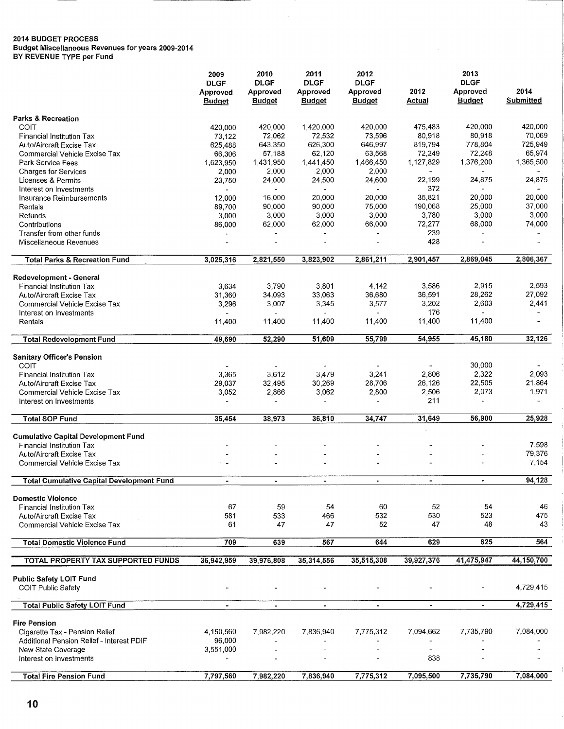**Budget Miscellaneous Revenues for years 2009-2014** 

**BY REVENUE TYPE per Fund** 

|                                                          | 2009                                     | 2010                                     | 2011                                     | 2012                                     | 2013<br><b>DLGF</b>   |                           |                   |  |
|----------------------------------------------------------|------------------------------------------|------------------------------------------|------------------------------------------|------------------------------------------|-----------------------|---------------------------|-------------------|--|
|                                                          | <b>DLGF</b><br>Approved<br><b>Budget</b> | <b>DLGF</b><br>Approved<br><b>Budget</b> | <b>DLGF</b><br>Approved<br><b>Budget</b> | <b>DLGF</b><br>Approved<br><b>Budget</b> | 2012<br><b>Actual</b> | Approved<br><b>Budget</b> | 2014<br>Submitted |  |
| <b>Parks &amp; Recreation</b>                            |                                          |                                          |                                          |                                          |                       |                           |                   |  |
| COIT                                                     | 420,000                                  | 420,000                                  | 1,420,000                                | 420,000                                  | 475,483               | 420,000                   | 420,000           |  |
| Financial Institution Tax                                | 73,122                                   | 72,062                                   | 72,532                                   | 73,596                                   | 80,918                | 80,918                    | 70,069            |  |
| Auto/Aircraft Excise Tax                                 | 625,488                                  | 643,350                                  | 626,300                                  | 646,997                                  | 819,794               | 778,804                   | 725,949           |  |
| Commercial Vehicle Excise Tax                            | 66,306                                   | 57,188                                   | 62,120                                   | 63,568                                   | 72,249                | 72,248                    | 65,974            |  |
| Park Service Fees                                        | 1,623,950                                | 1,431,950                                | 1,441,450                                | 1,466,450                                | 1,127,829             | 1,376,200                 | 1,365,500         |  |
| <b>Charges for Services</b>                              | 2,000                                    | 2,000                                    | 2,000                                    | 2,000                                    |                       |                           |                   |  |
| Licenses & Permits                                       | 23,750                                   | 24,000                                   | 24,500                                   | 24,600                                   | 22,199                | 24,875                    | 24,875            |  |
| Interest on Investments                                  |                                          |                                          |                                          |                                          | 372                   |                           |                   |  |
| Insurance Reimbursements                                 | 12,000                                   | 16,000                                   | 20,000                                   | 20,000                                   | 35,821                | 20,000                    | 20,000            |  |
| Rentals                                                  | 89,700                                   | 90,000                                   | 90,000                                   | 75,000                                   | 190,068               | 25,000                    | 37,000            |  |
| Refunds                                                  | 3,000                                    | 3,000                                    | 3,000                                    | 3,000                                    | 3,780                 | 3,000                     | 3,000             |  |
| Contributions                                            | 86,000                                   | 62,000                                   | 62,000                                   | 66,000                                   | 72,277                | 68,000                    | 74,000            |  |
| Transfer from other funds                                |                                          |                                          |                                          |                                          | 239                   |                           |                   |  |
| Miscellaneous Revenues                                   |                                          |                                          |                                          |                                          | 428                   |                           |                   |  |
| <b>Total Parks &amp; Recreation Fund</b>                 | 3,025,316                                | 2,821,550                                | 3,823,902                                | 2,861,211                                | 2,901,457             | 2,869.045                 | 2,806,367         |  |
| Redevelopment - General                                  |                                          |                                          |                                          |                                          |                       |                           |                   |  |
| <b>Financial Institution Tax</b>                         | 3,634                                    | 3,790                                    | 3,801                                    | 4,142                                    | 3,586                 | 2,915                     | 2,593             |  |
| Auto/Aircraft Excise Tax                                 | 31,360                                   | 34,093                                   | 33,063                                   | 36,680                                   | 36,591                | 28,262                    | 27,092            |  |
| Commercial Vehicle Excise Tax                            | 3,296                                    | 3,007                                    | 3,345                                    | 3,577                                    | 3,202                 | 2,603                     | 2,441             |  |
| Interest on Investments                                  |                                          |                                          |                                          |                                          | 176                   |                           |                   |  |
| Rentals                                                  | 11,400                                   | 11,400                                   | 11,400                                   | 11,400                                   | 11,400                | 11,400                    |                   |  |
| <b>Total Redevelopment Fund</b>                          | 49,690                                   | 52,290                                   | 51,609                                   | 55,799                                   | 54,955                | 45,180                    | 32,126            |  |
| <b>Sanitary Officer's Pension</b>                        |                                          |                                          |                                          |                                          |                       |                           |                   |  |
| <b>COIT</b>                                              |                                          |                                          |                                          |                                          |                       | 30,000                    |                   |  |
| Financial Institution Tax                                | 3,365                                    | 3,612                                    | 3,479                                    | 3,241                                    | 2,806                 | 2,322                     | 2,093             |  |
| <b>Auto/Aircraft Excise Tax</b>                          | 29,037                                   | 32,495                                   | 30,269                                   | 28,706                                   | 26,126                | 22,505                    | 21,864            |  |
| Commercial Vehicle Excise Tax<br>Interest on Investments | 3,052                                    | 2,866                                    | 3,062<br>$\overline{\phantom{a}}$        | 2,800<br>$\ddot{\phantom{a}}$            | 2,506<br>211          | 2,073                     | 1,971<br>÷        |  |
| <b>Total SOP Fund</b>                                    | 35,454                                   | 38,973                                   | 36,810                                   | 34,747                                   | 31,649                | 56,900                    | 25,928            |  |
|                                                          |                                          |                                          |                                          |                                          |                       |                           |                   |  |
| <b>Cumulative Capital Development Fund</b>               |                                          |                                          |                                          |                                          |                       |                           |                   |  |
| <b>Financial Institution Tax</b>                         |                                          |                                          |                                          |                                          |                       |                           | 7,598             |  |
| <b>Auto/Aircraft Excise Tax</b>                          |                                          |                                          |                                          |                                          |                       |                           | 79,376            |  |
| Commercial Vehicle Excise Tax                            |                                          |                                          |                                          |                                          |                       |                           | 7,154             |  |
| <b>Total Cumulative Capital Development Fund</b>         | $\blacksquare$                           | $\bullet$                                | $\blacksquare$                           | $\blacksquare$                           | $\blacksquare$        | $\blacksquare$            | 94,128            |  |
| <b>Domestic Violence</b>                                 |                                          |                                          |                                          |                                          |                       |                           |                   |  |
| <b>Financial Institution Tax</b>                         | 67                                       | 59                                       | 54                                       | 60                                       | 52                    | 54                        | 46                |  |
| Auto/Aircraft Excise Tax                                 | 581                                      | 533                                      | 466                                      | 532                                      | 530                   | 523                       | 475               |  |
| <b>Commercial Vehicle Excise Tax</b>                     | 61                                       | 47                                       | 47                                       | 52                                       | 47                    | 48                        | 43                |  |
| <b>Total Domestic Violence Fund</b>                      | 709                                      | 639                                      | 567                                      | 644                                      | 629                   | 625                       | 564               |  |
| <b>TOTAL PROPERTY TAX SUPPORTED FUNDS</b>                | 36,942,959                               | 39,976,808                               | 35,314,556                               | 35,515,308                               | 39,927,376            | 41,475,947                | 44,150,700        |  |
| <b>Public Safety LOIT Fund</b>                           |                                          |                                          |                                          |                                          |                       |                           |                   |  |
| <b>COIT Public Safety</b>                                |                                          |                                          |                                          |                                          |                       |                           | 4,729,415         |  |
| <b>Total Public Safety LOIT Fund</b>                     | $\blacksquare$                           | $\blacksquare$                           | $\blacksquare$                           | $\blacksquare$                           | $\blacksquare$        | $\blacksquare$            | 4,729,415         |  |
| <b>Fire Pension</b>                                      |                                          |                                          |                                          |                                          |                       |                           |                   |  |
| Cigarette Tax - Pension Relief                           | 4,150,560                                | 7,982,220                                | 7,836,940                                | 7,775,312                                | 7,094,662             | 7,735,790                 | 7,084,000         |  |
| Additional Pension Relief - Interest PDIF                | 96,000                                   |                                          |                                          |                                          |                       |                           |                   |  |
| New State Coverage                                       | 3,551,000                                |                                          |                                          |                                          |                       |                           |                   |  |
| Interest on Investments                                  |                                          |                                          |                                          |                                          | 838                   |                           |                   |  |
|                                                          |                                          |                                          |                                          |                                          |                       |                           |                   |  |
| <b>Total Fire Pension Fund</b>                           | 7,797,560                                | 7,982,220                                | 7,836,940                                | 7,775,312                                | 7,095,500             | 7,735,790                 | 7,084,000         |  |

 $\frac{1}{2}$ 

 $\overline{\mathbf{1}}$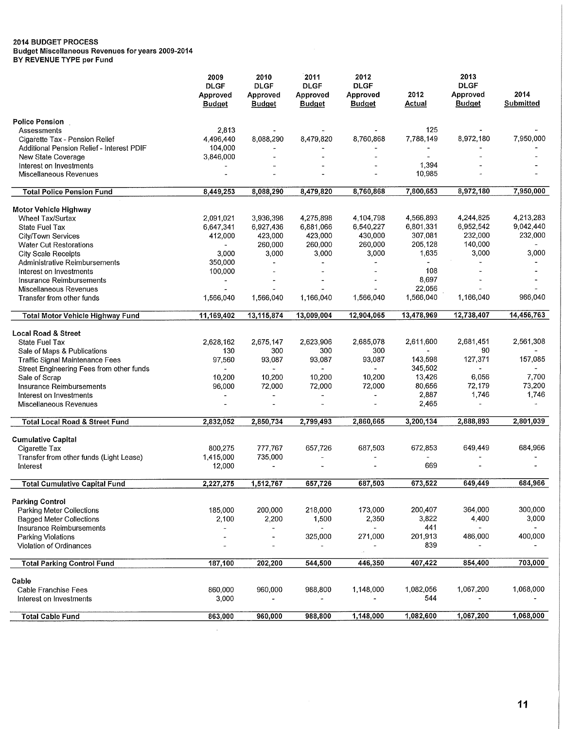**Budget Miscellaneous Revenues for years 2009-2014** 

**BY REVENUE TYPE per Fund** 

|                                           | 2009                      | 2010                      | 2011                      | 2012                      | 2013                  |                           |                   |  |
|-------------------------------------------|---------------------------|---------------------------|---------------------------|---------------------------|-----------------------|---------------------------|-------------------|--|
|                                           | <b>DLGF</b>               | <b>DLGF</b>               | <b>DLGF</b>               | <b>DLGF</b>               |                       | <b>DLGF</b>               |                   |  |
|                                           | Approved<br><b>Budget</b> | Approved<br><b>Budget</b> | Approved<br><b>Budget</b> | Approved<br><b>Budget</b> | 2012<br><b>Actual</b> | Approved<br><b>Budget</b> | 2014<br>Submitted |  |
| <b>Police Pension</b>                     |                           |                           |                           |                           |                       |                           |                   |  |
| Assessments                               | 2,813                     |                           |                           |                           | 125                   |                           |                   |  |
| Cigarette Tax - Pension Relief            | 4,496,440                 | 8,088,290                 | 8,479,820                 | 8,760,868                 | 7,788,149             | 8,972,180                 | 7,950,000         |  |
| Additional Pension Relief - Interest PDIF | 104,000                   |                           |                           |                           |                       |                           |                   |  |
| New State Coverage                        | 3,846,000                 |                           |                           |                           |                       |                           |                   |  |
| Interest on Investments                   |                           |                           |                           |                           | 1,394                 |                           |                   |  |
| Miscellaneous Revenues                    |                           |                           |                           |                           | 10,985                |                           |                   |  |
| <b>Total Police Pension Fund</b>          | 8,449,253                 | 8,088,290                 | 8,479,820                 | 8,760,868                 | 7,800,653             | 8,972,180                 | 7,950,000         |  |
| Motor Vehicle Highway                     |                           |                           |                           |                           |                       |                           |                   |  |
| <b>Wheel Tax/Surtax</b>                   | 2,091,021                 | 3,936,398                 | 4,275,898                 | 4,104,798                 | 4,566,893             | 4,244,825                 | 4,213,283         |  |
| <b>State Fuel Tax</b>                     | 6,647,341                 | 6,927,436                 | 6,881,066                 | 6,540,227                 | 6,801,331             | 6,952,542                 | 9,042,440         |  |
| City/Town Services                        | 412,000                   | 423,000                   | 423,000                   | 430,000                   | 307,081               | 232,000                   | 232,000           |  |
| Water Cut Restorations                    |                           | 260,000                   | 260,000                   | 260,000                   | 205,128               | 140,000                   |                   |  |
| <b>City Scale Receipts</b>                | 3,000                     | 3,000                     | 3,000                     | 3,000                     | 1,635                 | 3,000                     | 3,000             |  |
| Administrative Reimbursements             | 350,000                   |                           | $\overline{\phantom{a}}$  |                           |                       |                           |                   |  |
| Interest on Investments                   | 100,000                   |                           |                           |                           | 108                   |                           |                   |  |
| Insurance Reimbursements                  |                           |                           |                           |                           | 8,697                 |                           |                   |  |
| Miscellaneous Revenues                    |                           |                           |                           |                           | 22,056                |                           |                   |  |
| Transfer from other funds                 | 1,566,040                 | 1,566,040                 | 1,166,040                 | 1,566,040                 | 1,566,040             | 1,166,040                 | 966,040           |  |
| Total Motor Vehicle Highway Fund          | 11,169,402                | 13,115,874                | 13,009,004                | 12,904,065                | 13,478,969            | 12,738,407                | 14,456,763        |  |
| <b>Local Road &amp; Street</b>            |                           |                           |                           |                           |                       |                           |                   |  |
| State Fuel Tax                            | 2,628,162                 | 2,675,147                 | 2,623,906                 | 2,685,078                 | 2,611,600             | 2,681,451                 | 2,561,308         |  |
| Sale of Maps & Publications               | 130                       | 300                       | 300                       | 300                       |                       | 90                        |                   |  |
| <b>Traffic Signal Maintenance Fees</b>    | 97,560                    | 93,087                    | 93,087                    | 93,087                    | 143,598               | 127,371                   | 157,085           |  |
| Street Engineering Fees from other funds  |                           |                           | $\overline{\phantom{a}}$  | ÷.                        | 345,502               |                           |                   |  |
| Sale of Scrap                             | 10,200                    | 10,200                    | 10,200                    | 10,200                    | 13,426                | 6,056                     | 7,700             |  |
| Insurance Reimbursements                  | 96,000                    | 72,000                    | 72,000                    | 72,000                    | 80,656                | 72,179                    | 73,200            |  |
| Interest on Investments                   | $\overline{\phantom{a}}$  | ÷.                        | $\overline{\phantom{a}}$  | $\overline{a}$            | 2,887                 | 1,746                     | 1,746             |  |
| Miscellaneous Revenues                    |                           |                           |                           |                           | 2,465                 | $\overline{\phantom{a}}$  |                   |  |
| Total Local Road & Street Fund            | 2,832,052                 | 2,850,734                 | 2,799,493                 | 2,860,665                 | 3,200,134             | 2,888,893                 | 2,801,039         |  |
| <b>Cumulative Capital</b>                 |                           |                           |                           |                           |                       |                           |                   |  |
| Cigarette Tax                             | 800,275                   | 777,767                   | 657,726                   | 687,503                   | 672,853               | 649,449                   | 684,966           |  |
| Transfer from other funds (Light Lease)   | 1,415,000                 | 735,000                   |                           |                           |                       |                           |                   |  |
| Interest                                  | 12,000                    |                           |                           |                           | 669                   |                           |                   |  |
| Total Cumulative Capital Fund             | 2,227,275                 | 1,512,767                 | 657,726                   | 687,503                   | 673,522               | 649,449                   | 684,966           |  |
|                                           |                           |                           |                           |                           |                       |                           |                   |  |
| <b>Parking Control</b>                    |                           |                           |                           |                           |                       |                           |                   |  |
| <b>Parking Meter Collections</b>          | 185,000                   | 200,000                   | 218,000                   | 173,000                   | 200,407               | 364,000                   | 300,000           |  |
| <b>Bagged Meter Collections</b>           | 2,100                     | 2,200                     | 1,500                     | 2,350                     | 3,822                 | 4,400                     | 3,000             |  |
| Insurance Reimbursements                  | $\overline{\phantom{a}}$  |                           | $\Box$                    | u.                        | 441                   | $\omega$                  |                   |  |
| Parking Violations                        |                           | $\blacksquare$            | 325,000                   | 271,000                   | 201,913               | 486,000                   | 400,000           |  |
| Violation of Ordinances                   |                           |                           | $\blacksquare$            |                           | 839                   | $\ddot{\phantom{1}}$      |                   |  |
| <b>Total Parking Control Fund</b>         | 187,100                   | 202,200                   | 544,500                   | 446,350                   | 407,422               | 854,400                   | 703,000           |  |
| Cable                                     |                           |                           |                           |                           |                       |                           |                   |  |
| Cable Franchise Fees                      | 860,000                   | 960,000                   | 988,800                   | 1,148,000                 | 1,082,056             | 1,067,200                 | 1,068,000         |  |
| Interest on Investments                   | 3,000                     |                           | ÷,                        |                           | 544                   |                           |                   |  |
| <b>Total Cable Fund</b>                   | 863,000                   | 960,000                   | 988,800                   | 1,148,000                 | 1,082,600             | 1,067,200                 | 1,068,000         |  |

 $\mathcal{A}^{\mathcal{A}}$